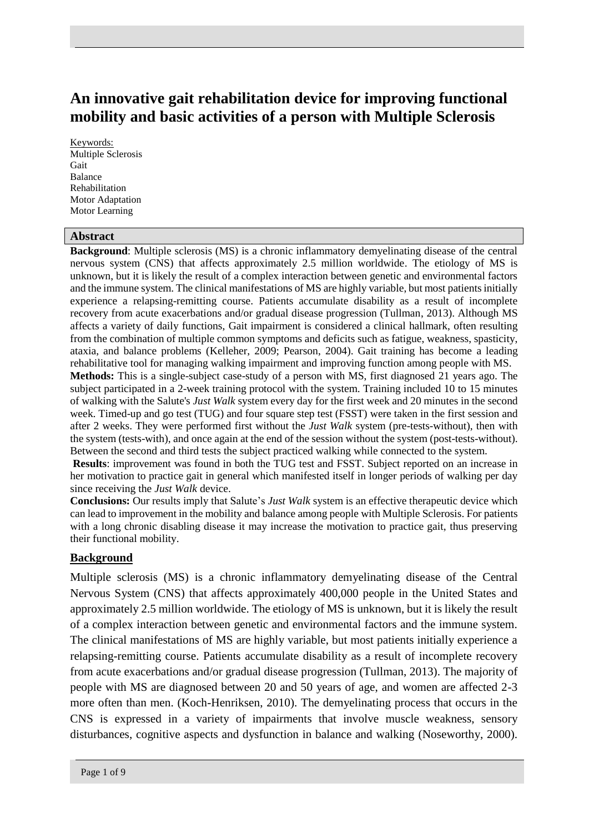# **An innovative gait rehabilitation device for improving functional mobility and basic activities of a person with Multiple Sclerosis**

Keywords: Multiple Sclerosis Gait Balance Rehabilitation Motor Adaptation Motor Learning

#### **Abstract**

**Background**: Multiple sclerosis (MS) is a chronic inflammatory demyelinating disease of the central nervous system (CNS) that affects approximately 2.5 million worldwide. The etiology of MS is unknown, but it is likely the result of a complex interaction between genetic and environmental factors and the immune system. The clinical manifestations of MS are highly variable, but most patients initially experience a relapsing-remitting course. Patients accumulate disability as a result of incomplete recovery from acute exacerbations and/or gradual disease progression (Tullman, 2013). Although MS affects a variety of daily functions, Gait impairment is considered a clinical hallmark, often resulting from the combination of multiple common symptoms and deficits such as fatigue, weakness, spasticity, ataxia, and balance problems (Kelleher, 2009; Pearson, 2004). Gait training has become a leading rehabilitative tool for managing walking impairment and improving function among people with MS. **Methods:** This is a single-subject case-study of a person with MS, first diagnosed 21 years ago. The subject participated in a 2-week training protocol with the system. Training included 10 to 15 minutes of walking with the Salute's *Just Walk* system every day for the first week and 20 minutes in the second week. Timed-up and go test (TUG) and four square step test (FSST) were taken in the first session and after 2 weeks. They were performed first without the *Just Walk* system (pre-tests-without), then with the system (tests-with), and once again at the end of the session without the system (post-tests-without). Between the second and third tests the subject practiced walking while connected to the system.

**Results**: improvement was found in both the TUG test and FSST. Subject reported on an increase in her motivation to practice gait in general which manifested itself in longer periods of walking per day since receiving the *Just Walk* device.

**Conclusions:** Our results imply that Salute's *Just Walk* system is an effective therapeutic device which can lead to improvement in the mobility and balance among people with Multiple Sclerosis. For patients with a long chronic disabling disease it may increase the motivation to practice gait, thus preserving their functional mobility.

#### **Background**

Multiple sclerosis (MS) is a chronic inflammatory demyelinating disease of the Central Nervous System (CNS) that affects approximately 400,000 people in the United States and approximately 2.5 million worldwide. The etiology of MS is unknown, but it is likely the result of a complex interaction between genetic and environmental factors and the immune system. The clinical manifestations of MS are highly variable, but most patients initially experience a relapsing-remitting course. Patients accumulate disability as a result of incomplete recovery from acute exacerbations and/or gradual disease progression (Tullman, 2013). The majority of people with MS are diagnosed between 20 and 50 years of age, and women are affected 2-3 more often than men. (Koch-Henriksen, 2010). The demyelinating process that occurs in the CNS is expressed in a variety of impairments that involve muscle weakness, sensory disturbances, cognitive aspects and dysfunction in balance and walking (Noseworthy, 2000).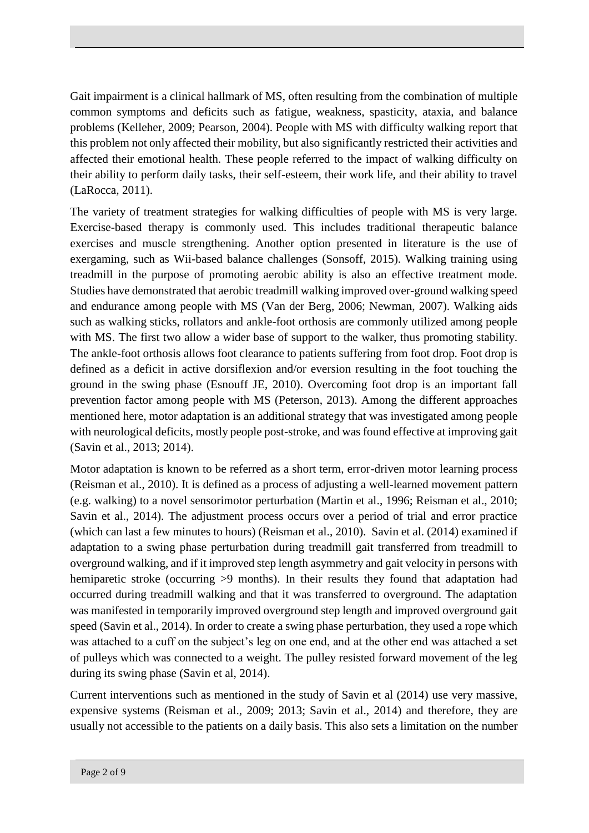Gait impairment is a clinical hallmark of MS, often resulting from the combination of multiple common symptoms and deficits such as fatigue, weakness, spasticity, ataxia, and balance problems (Kelleher, 2009; Pearson, 2004). People with MS with difficulty walking report that this problem not only affected their mobility, but also significantly restricted their activities and affected their emotional health. These people referred to the impact of walking difficulty on their ability to perform daily tasks, their self-esteem, their work life, and their ability to travel (LaRocca, 2011).

The variety of treatment strategies for walking difficulties of people with MS is very large. Exercise-based therapy is commonly used. This includes traditional therapeutic balance exercises and muscle strengthening. Another option presented in literature is the use of exergaming, such as Wii-based balance challenges (Sonsoff, 2015). Walking training using treadmill in the purpose of promoting aerobic ability is also an effective treatment mode. Studies have demonstrated that aerobic treadmill walking improved over-ground walking speed and endurance among people with MS (Van der Berg, 2006; Newman, 2007). Walking aids such as walking sticks, rollators and ankle-foot orthosis are commonly utilized among people with MS. The first two allow a wider base of support to the walker, thus promoting stability. The ankle-foot orthosis allows foot clearance to patients suffering from foot drop. Foot drop is defined as a deficit in active dorsiflexion and/or eversion resulting in the foot touching the ground in the swing phase (Esnouff JE, 2010). Overcoming foot drop is an important fall prevention factor among people with MS (Peterson, 2013). Among the different approaches mentioned here, motor adaptation is an additional strategy that was investigated among people with neurological deficits, mostly people post-stroke, and was found effective at improving gait (Savin et al., 2013; 2014).

Motor adaptation is known to be referred as a short term, error-driven motor learning process (Reisman et al., 2010). It is defined as a process of adjusting a well-learned movement pattern (e.g. walking) to a novel sensorimotor perturbation (Martin et al., 1996; Reisman et al., 2010; Savin et al., 2014). The adjustment process occurs over a period of trial and error practice (which can last a few minutes to hours) (Reisman et al., 2010). Savin et al. (2014) examined if adaptation to a swing phase perturbation during treadmill gait transferred from treadmill to overground walking, and if it improved step length asymmetry and gait velocity in persons with hemiparetic stroke (occurring  $>9$  months). In their results they found that adaptation had occurred during treadmill walking and that it was transferred to overground. The adaptation was manifested in temporarily improved overground step length and improved overground gait speed (Savin et al., 2014). In order to create a swing phase perturbation, they used a rope which was attached to a cuff on the subject's leg on one end, and at the other end was attached a set of pulleys which was connected to a weight. The pulley resisted forward movement of the leg during its swing phase (Savin et al, 2014).

Current interventions such as mentioned in the study of Savin et al (2014) use very massive, expensive systems (Reisman et al., 2009; 2013; Savin et al., 2014) and therefore, they are usually not accessible to the patients on a daily basis. This also sets a limitation on the number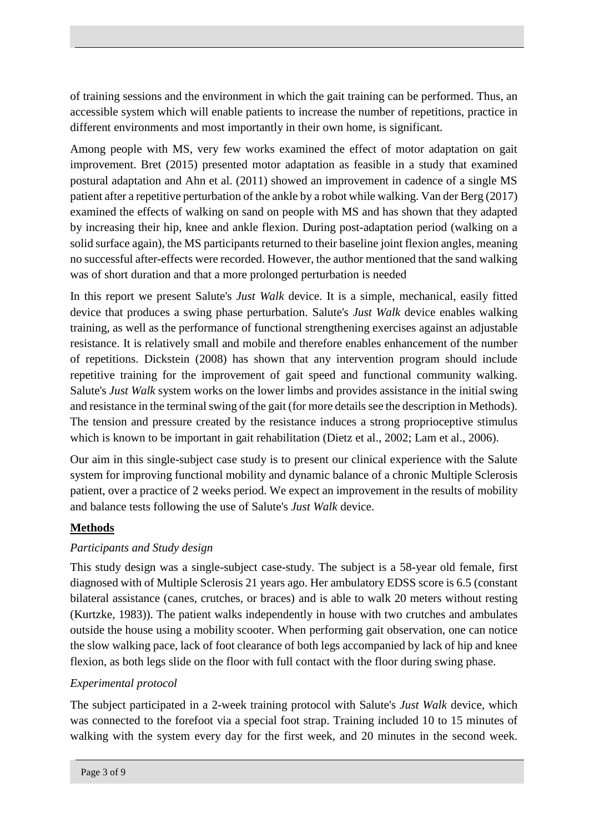of training sessions and the environment in which the gait training can be performed. Thus, an accessible system which will enable patients to increase the number of repetitions, practice in different environments and most importantly in their own home, is significant.

Among people with MS, very few works examined the effect of motor adaptation on gait improvement. Bret (2015) presented motor adaptation as feasible in a study that examined postural adaptation and Ahn et al. (2011) showed an improvement in cadence of a single MS patient after a repetitive perturbation of the ankle by a robot while walking. Van der Berg (2017) examined the effects of walking on sand on people with MS and has shown that they adapted by increasing their hip, knee and ankle flexion. During post-adaptation period (walking on a solid surface again), the MS participants returned to their baseline joint flexion angles, meaning no successful after-effects were recorded. However, the author mentioned that the sand walking was of short duration and that a more prolonged perturbation is needed

In this report we present Salute's *Just Walk* device. It is a simple, mechanical, easily fitted device that produces a swing phase perturbation. Salute's *Just Walk* device enables walking training, as well as the performance of functional strengthening exercises against an adjustable resistance. It is relatively small and mobile and therefore enables enhancement of the number of repetitions. Dickstein (2008) has shown that any intervention program should include repetitive training for the improvement of gait speed and functional community walking. Salute's *Just Walk* system works on the lower limbs and provides assistance in the initial swing and resistance in the terminal swing of the gait (for more details see the description in Methods). The tension and pressure created by the resistance induces a strong proprioceptive stimulus which is known to be important in gait rehabilitation (Dietz et al., 2002; Lam et al., 2006).

Our aim in this single-subject case study is to present our clinical experience with the Salute system for improving functional mobility and dynamic balance of a chronic Multiple Sclerosis patient, over a practice of 2 weeks period. We expect an improvement in the results of mobility and balance tests following the use of Salute's *Just Walk* device.

# **Methods**

# *Participants and Study design*

This study design was a single-subject case-study. The subject is a 58-year old female, first diagnosed with of Multiple Sclerosis 21 years ago. Her ambulatory EDSS score is 6.5 (constant bilateral assistance (canes, crutches, or braces) and is able to walk 20 meters without resting (Kurtzke, 1983)). The patient walks independently in house with two crutches and ambulates outside the house using a mobility scooter. When performing gait observation, one can notice the slow walking pace, lack of foot clearance of both legs accompanied by lack of hip and knee flexion, as both legs slide on the floor with full contact with the floor during swing phase.

# *Experimental protocol*

The subject participated in a 2-week training protocol with Salute's *Just Walk* device, which was connected to the forefoot via a special foot strap. Training included 10 to 15 minutes of walking with the system every day for the first week, and 20 minutes in the second week.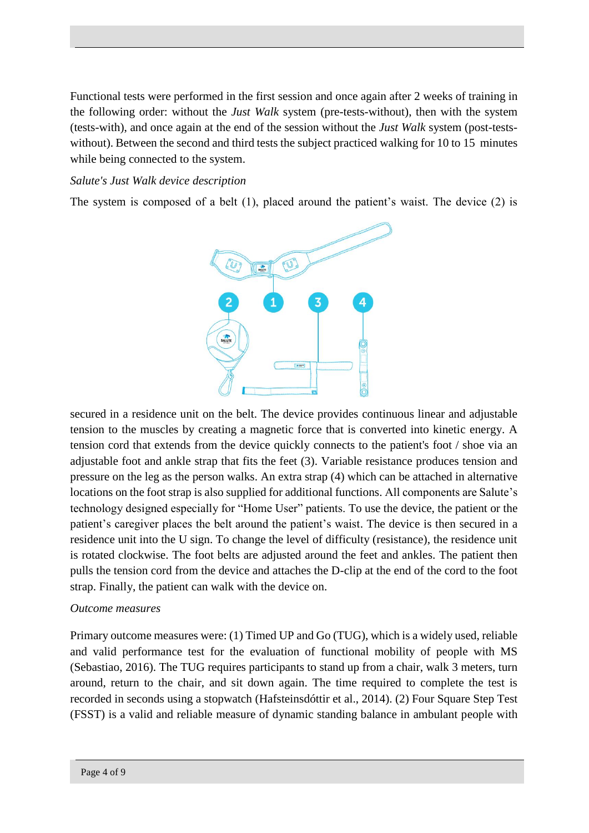Functional tests were performed in the first session and once again after 2 weeks of training in the following order: without the *Just Walk* system (pre-tests-without), then with the system (tests-with), and once again at the end of the session without the *Just Walk* system (post-testswithout). Between the second and third tests the subject practiced walking for 10 to 15 minutes while being connected to the system.

### *Salute's Just Walk device description*

The system is composed of a belt (1), placed around the patient's waist. The device (2) is



secured in a residence unit on the belt. The device provides continuous linear and adjustable tension to the muscles by creating a magnetic force that is converted into kinetic energy. A tension cord that extends from the device quickly connects to the patient's foot / shoe via an adjustable foot and ankle strap that fits the feet (3). Variable resistance produces tension and pressure on the leg as the person walks. An extra strap (4) which can be attached in alternative locations on the foot strap is also supplied for additional functions. All components are Salute's technology designed especially for "Home User" patients. To use the device, the patient or the patient's caregiver places the belt around the patient's waist. The device is then secured in a residence unit into the U sign. To change the level of difficulty (resistance), the residence unit is rotated clockwise. The foot belts are adjusted around the feet and ankles. The patient then pulls the tension cord from the device and attaches the D-clip at the end of the cord to the foot strap. Finally, the patient can walk with the device on.

#### *Outcome measures*

Primary outcome measures were: (1) Timed UP and Go (TUG), which is a widely used, reliable and valid performance test for the evaluation of functional mobility of people with MS (Sebastiao, 2016). The TUG requires participants to stand up from a chair, walk 3 meters, turn around, return to the chair, and sit down again. The time required to complete the test is recorded in seconds using a stopwatch (Hafsteinsdóttir et al., 2014). (2) Four Square Step Test (FSST) is a valid and reliable measure of dynamic standing balance in ambulant people with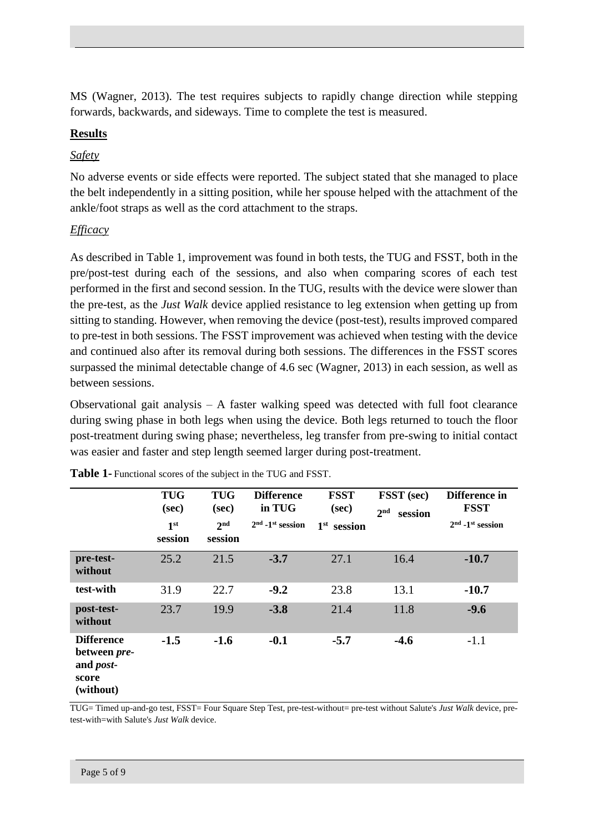MS (Wagner, 2013). The test requires subjects to rapidly change direction while stepping forwards, backwards, and sideways. Time to complete the test is measured.

## **Results**

## *Safety*

No adverse events or side effects were reported. The subject stated that she managed to place the belt independently in a sitting position, while her spouse helped with the attachment of the ankle/foot straps as well as the cord attachment to the straps.

# *Efficacy*

As described in Table 1, improvement was found in both tests, the TUG and FSST, both in the pre/post-test during each of the sessions, and also when comparing scores of each test performed in the first and second session. In the TUG, results with the device were slower than the pre-test, as the *Just Walk* device applied resistance to leg extension when getting up from sitting to standing. However, when removing the device (post-test), results improved compared to pre-test in both sessions. The FSST improvement was achieved when testing with the device and continued also after its removal during both sessions. The differences in the FSST scores surpassed the minimal detectable change of 4.6 sec (Wagner, 2013) in each session, as well as between sessions.

Observational gait analysis – A faster walking speed was detected with full foot clearance during swing phase in both legs when using the device. Both legs returned to touch the floor post-treatment during swing phase; nevertheless, leg transfer from pre-swing to initial contact was easier and faster and step length seemed larger during post-treatment.

|                                                                              | <b>TUG</b><br>(sec)<br>1 <sup>st</sup><br>session | <b>TUG</b><br>(sec)<br>2 <sub>nd</sub><br>session | <b>Difference</b><br>in TUG<br>$2nd$ -1 <sup>st</sup> session | <b>FSST</b><br>(sec)<br>$1st$ session | FSST (sec)<br>2 <sub>nd</sub><br>session | Difference in<br><b>FSST</b><br>$2nd$ -1 <sup>st</sup> session |
|------------------------------------------------------------------------------|---------------------------------------------------|---------------------------------------------------|---------------------------------------------------------------|---------------------------------------|------------------------------------------|----------------------------------------------------------------|
| pre-test-<br>without                                                         | 25.2                                              | 21.5                                              | $-3.7$                                                        | 27.1                                  | 16.4                                     | $-10.7$                                                        |
| test-with                                                                    | 31.9                                              | 22.7                                              | $-9.2$                                                        | 23.8                                  | 13.1                                     | $-10.7$                                                        |
| post-test-<br>without                                                        | 23.7                                              | 19.9                                              | $-3.8$                                                        | 21.4                                  | 11.8                                     | $-9.6$                                                         |
| <b>Difference</b><br>between pre-<br>and <i>post</i> -<br>score<br>(without) | $-1.5$                                            | $-1.6$                                            | $-0.1$                                                        | $-5.7$                                | $-4.6$                                   | $-1.1$                                                         |

**Table 1-** Functional scores of the subject in the TUG and FSST.

TUG= Timed up-and-go test, FSST= Four Square Step Test, pre-test-without= pre-test without Salute's *Just Walk* device, pretest-with=with Salute's *Just Walk* device.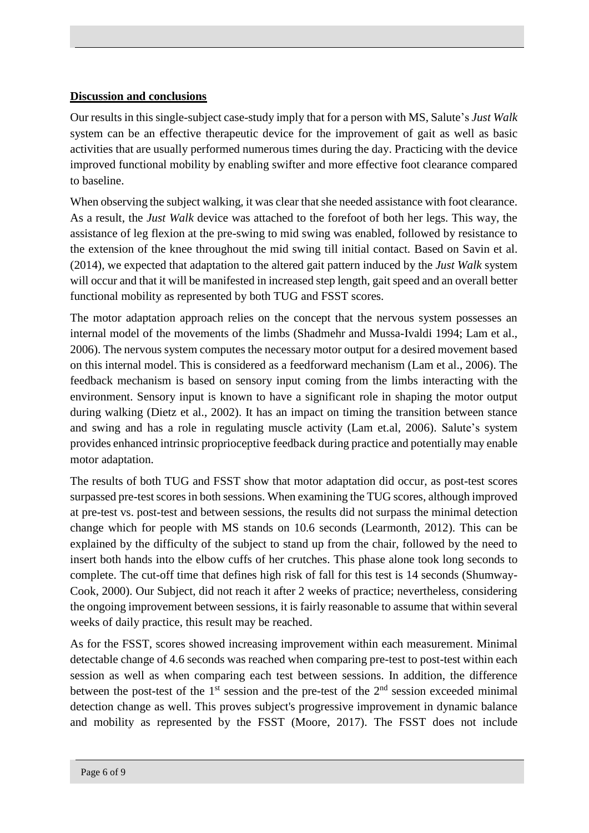## **Discussion and conclusions**

Our results in this single-subject case-study imply that for a person with MS, Salute's *Just Walk* system can be an effective therapeutic device for the improvement of gait as well as basic activities that are usually performed numerous times during the day. Practicing with the device improved functional mobility by enabling swifter and more effective foot clearance compared to baseline.

When observing the subject walking, it was clear that she needed assistance with foot clearance. As a result, the *Just Walk* device was attached to the forefoot of both her legs. This way, the assistance of leg flexion at the pre-swing to mid swing was enabled, followed by resistance to the extension of the knee throughout the mid swing till initial contact. Based on Savin et al. (2014), we expected that adaptation to the altered gait pattern induced by the *Just Walk* system will occur and that it will be manifested in increased step length, gait speed and an overall better functional mobility as represented by both TUG and FSST scores.

The motor adaptation approach relies on the concept that the nervous system possesses an internal model of the movements of the limbs (Shadmehr and Mussa-Ivaldi 1994; Lam et al., 2006). The nervous system computes the necessary motor output for a desired movement based on this internal model. This is considered as a feedforward mechanism (Lam et al., 2006). The feedback mechanism is based on sensory input coming from the limbs interacting with the environment. Sensory input is known to have a significant role in shaping the motor output during walking (Dietz et al., 2002). It has an impact on timing the transition between stance and swing and has a role in regulating muscle activity (Lam et.al, 2006). Salute's system provides enhanced intrinsic proprioceptive feedback during practice and potentially may enable motor adaptation.

The results of both TUG and FSST show that motor adaptation did occur, as post-test scores surpassed pre-test scores in both sessions. When examining the TUG scores, although improved at pre-test vs. post-test and between sessions, the results did not surpass the minimal detection change which for people with MS stands on 10.6 seconds (Learmonth, 2012). This can be explained by the difficulty of the subject to stand up from the chair, followed by the need to insert both hands into the elbow cuffs of her crutches. This phase alone took long seconds to complete. The cut-off time that defines high risk of fall for this test is 14 seconds (Shumway-Cook, 2000). Our Subject, did not reach it after 2 weeks of practice; nevertheless, considering the ongoing improvement between sessions, it is fairly reasonable to assume that within several weeks of daily practice, this result may be reached.

As for the FSST, scores showed increasing improvement within each measurement. Minimal detectable change of 4.6 seconds was reached when comparing pre-test to post-test within each session as well as when comparing each test between sessions. In addition, the difference between the post-test of the  $1<sup>st</sup>$  session and the pre-test of the  $2<sup>nd</sup>$  session exceeded minimal detection change as well. This proves subject's progressive improvement in dynamic balance and mobility as represented by the FSST (Moore, 2017). The FSST does not include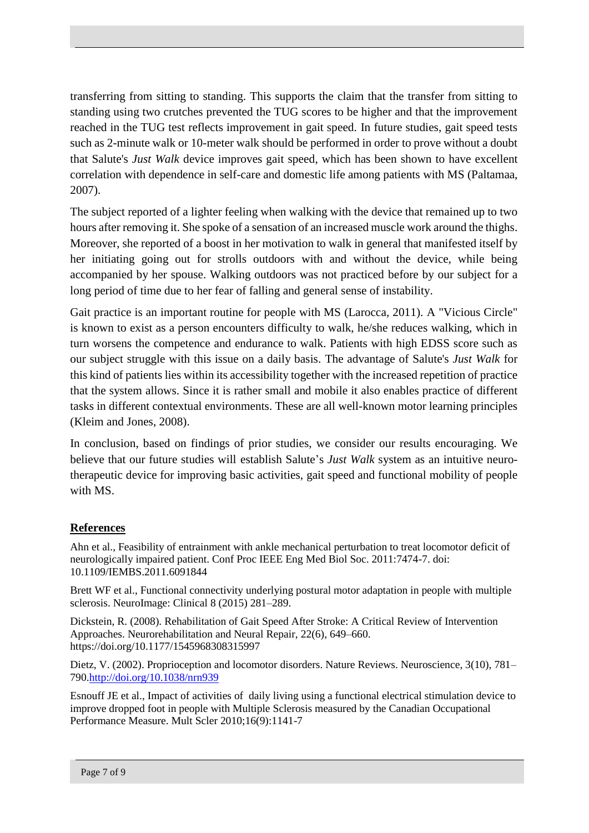transferring from sitting to standing. This supports the claim that the transfer from sitting to standing using two crutches prevented the TUG scores to be higher and that the improvement reached in the TUG test reflects improvement in gait speed. In future studies, gait speed tests such as 2-minute walk or 10-meter walk should be performed in order to prove without a doubt that Salute's *Just Walk* device improves gait speed, which has been shown to have excellent correlation with dependence in self-care and domestic life among patients with MS (Paltamaa, 2007).

The subject reported of a lighter feeling when walking with the device that remained up to two hours after removing it. She spoke of a sensation of an increased muscle work around the thighs. Moreover, she reported of a boost in her motivation to walk in general that manifested itself by her initiating going out for strolls outdoors with and without the device, while being accompanied by her spouse. Walking outdoors was not practiced before by our subject for a long period of time due to her fear of falling and general sense of instability.

Gait practice is an important routine for people with MS (Larocca, 2011). A "Vicious Circle" is known to exist as a person encounters difficulty to walk, he/she reduces walking, which in turn worsens the competence and endurance to walk. Patients with high EDSS score such as our subject struggle with this issue on a daily basis. The advantage of Salute's *Just Walk* for this kind of patients lies within its accessibility together with the increased repetition of practice that the system allows. Since it is rather small and mobile it also enables practice of different tasks in different contextual environments. These are all well-known motor learning principles (Kleim and Jones, 2008).

In conclusion, based on findings of prior studies, we consider our results encouraging. We believe that our future studies will establish Salute's *Just Walk* system as an intuitive neurotherapeutic device for improving basic activities, gait speed and functional mobility of people with MS.

## **References**

Ahn et al., Feasibility of entrainment with ankle mechanical perturbation to treat locomotor deficit of neurologically impaired patient. Conf Proc IEEE Eng Med Biol Soc. 2011:7474-7. doi: 10.1109/IEMBS.2011.6091844

Brett WF et al., Functional connectivity underlying postural motor adaptation in people with multiple sclerosis. NeuroImage: Clinical 8 (2015) 281–289.

Dickstein, R. (2008). Rehabilitation of Gait Speed After Stroke: A Critical Review of Intervention Approaches. Neurorehabilitation and Neural Repair, 22(6), 649–660. https://doi.org/10.1177/1545968308315997

Dietz, V. (2002). Proprioception and locomotor disorders. Nature Reviews. Neuroscience, 3(10), 781– 790[.http://doi.org/10.1038/nrn939](https://doi.org/10.1038/nrn939)

Esnouff JE et al., Impact of activities of daily living using a functional electrical stimulation device to improve dropped foot in people with Multiple Sclerosis measured by the Canadian Occupational Performance Measure. Mult Scler 2010;16(9):1141-7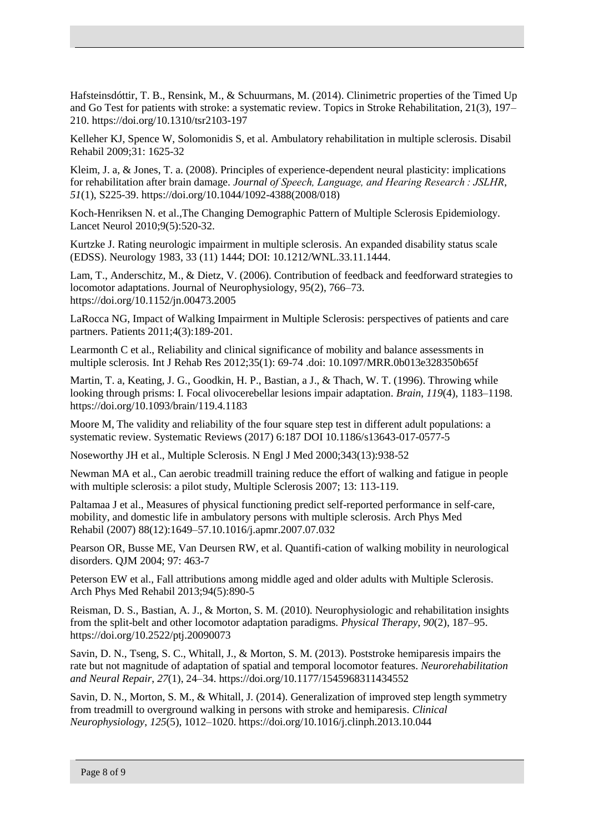Hafsteinsdóttir, T. B., Rensink, M., & Schuurmans, M. (2014). Clinimetric properties of the Timed Up and Go Test for patients with stroke: a systematic review. Topics in Stroke Rehabilitation, 21(3), 197– 210. https://doi.org/10.1310/tsr2103-197

Kelleher KJ, Spence W, Solomonidis S, et al. Ambulatory rehabilitation in multiple sclerosis. Disabil Rehabil 2009;31: 1625-32

Kleim, J. a, & Jones, T. a. (2008). Principles of experience-dependent neural plasticity: implications for rehabilitation after brain damage. *Journal of Speech, Language, and Hearing Research : JSLHR*, *51*(1), S225-39. https://doi.org/10.1044/1092-4388(2008/018)

Koch-Henriksen N. et al.,The Changing Demographic Pattern of Multiple Sclerosis Epidemiology. Lancet Neurol 2010;9(5):520-32.

Kurtzke J. Rating neurologic impairment in multiple sclerosis. An expanded disability status scale (EDSS). Neurology 1983, 33 (11) 1444; DOI: 10.1212/WNL.33.11.1444.

Lam, T., Anderschitz, M., & Dietz, V. (2006). Contribution of feedback and feedforward strategies to locomotor adaptations. Journal of Neurophysiology, 95(2), 766–73. https://doi.org/10.1152/jn.00473.2005

LaRocca NG, Impact of Walking Impairment in Multiple Sclerosis: perspectives of patients and care partners. Patients 2011;4(3):189-201.

Learmonth C et al., Reliability and clinical significance of mobility and balance assessments in multiple sclerosis. Int J Rehab Res 2012;35(1): 69-74 .doi: 10.1097/MRR.0b013e328350b65f

Martin, T. a, Keating, J. G., Goodkin, H. P., Bastian, a J., & Thach, W. T. (1996). Throwing while looking through prisms: I. Focal olivocerebellar lesions impair adaptation. *Brain*, *119*(4), 1183–1198. https://doi.org/10.1093/brain/119.4.1183

Moore M, The validity and reliability of the four square step test in different adult populations: a systematic review. Systematic Reviews (2017) 6:187 DOI 10.1186/s13643-017-0577-5

Noseworthy JH et al., Multiple Sclerosis. N Engl J Med 2000;343(13):938-52

Newman MA et al., Can aerobic treadmill training reduce the effort of walking and fatigue in people with multiple sclerosis: a pilot study, Multiple Sclerosis 2007; 13: 113-119.

Paltamaa J et al., Measures of physical functioning predict self-reported performance in self-care, mobility, and domestic life in ambulatory persons with multiple sclerosis. Arch Phys Med Rehabil (2007) 88(12):1649–57.10.1016/j.apmr.2007.07.032

Pearson OR, Busse ME, Van Deursen RW, et al. Quantifi-cation of walking mobility in neurological disorders. QJM 2004; 97: 463-7

Peterson EW et al., Fall attributions among middle aged and older adults with Multiple Sclerosis. Arch Phys Med Rehabil 2013;94(5):890-5

Reisman, D. S., Bastian, A. J., & Morton, S. M. (2010). Neurophysiologic and rehabilitation insights from the split-belt and other locomotor adaptation paradigms. *Physical Therapy*, *90*(2), 187–95. https://doi.org/10.2522/ptj.20090073

Savin, D. N., Tseng, S. C., Whitall, J., & Morton, S. M. (2013). Poststroke hemiparesis impairs the rate but not magnitude of adaptation of spatial and temporal locomotor features. *Neurorehabilitation and Neural Repair*, *27*(1), 24–34. https://doi.org/10.1177/1545968311434552

Savin, D. N., Morton, S. M., & Whitall, J. (2014). Generalization of improved step length symmetry from treadmill to overground walking in persons with stroke and hemiparesis. *Clinical Neurophysiology*, *125*(5), 1012–1020. https://doi.org/10.1016/j.clinph.2013.10.044